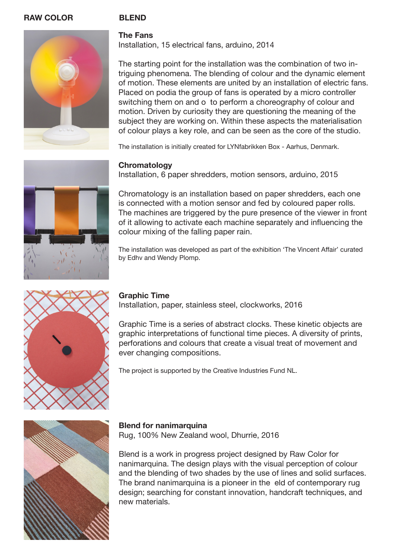### **RAW COLOR BLEND**



#### **The Fans**  Installation, 15 electrical fans, arduino, 2014

The starting point for the installation was the combination of two intriguing phenomena. The blending of colour and the dynamic element of motion. These elements are united by an installation of electric fans. Placed on podia the group of fans is operated by a micro controller switching them on and o to perform a choreography of colour and motion. Driven by curiosity they are questioning the meaning of the subject they are working on. Within these aspects the materialisation of colour plays a key role, and can be seen as the core of the studio.

The installation is initially created for LYNfabrikken Box - Aarhus, Denmark.

### **Chromatology**

Installation, 6 paper shredders, motion sensors, arduino, 2015



Chromatology is an installation based on paper shredders, each one is connected with a motion sensor and fed by coloured paper rolls. The machines are triggered by the pure presence of the viewer in front of it allowing to activate each machine separately and influencing the colour mixing of the falling paper rain.

The installation was developed as part of the exhibition 'The Vincent Affair' curated by Edhv and Wendy Plomp.



# **Graphic Time**

Installation, paper, stainless steel, clockworks, 2016

Graphic Time is a series of abstract clocks. These kinetic objects are graphic interpretations of functional time pieces. A diversity of prints, perforations and colours that create a visual treat of movement and ever changing compositions.

The project is supported by the Creative Industries Fund NL.



**Blend for nanimarquina** Rug, 100% New Zealand wool, Dhurrie, 2016

Blend is a work in progress project designed by Raw Color for nanimarquina. The design plays with the visual perception of colour and the blending of two shades by the use of lines and solid surfaces. The brand nanimarquina is a pioneer in the eld of contemporary rug design; searching for constant innovation, handcraft techniques, and new materials.